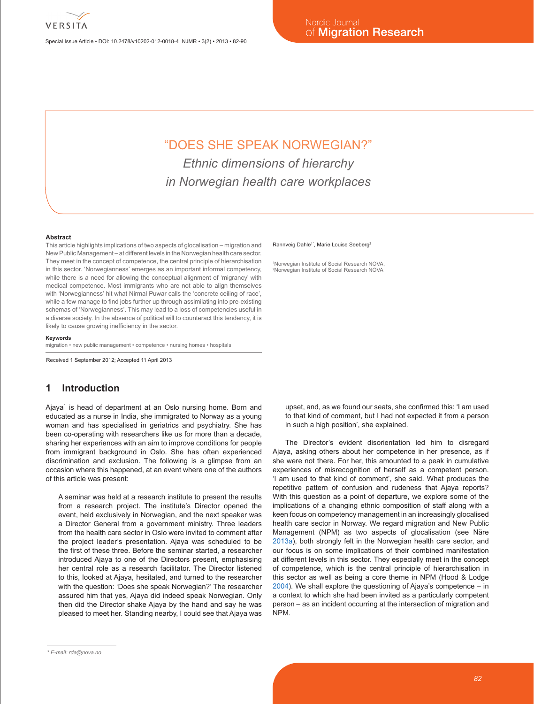

Special Issue Article • DOI: 10.2478/v10202-012-0018-4 NJMR • 3(2) • 2013 • 82-90

# "DOES SHE SPEAK NORWEGIAN?" *Ethnic dimensions of hierarchy in Norwegian health care workplaces*

#### **Abstract**

This article highlights implications of two aspects of glocalisation – migration and New Public Management – at different levels in the Norwegian health care sector. They meet in the concept of competence, the central principle of hierarchisation in this sector. 'Norwegianness' emerges as an important informal competency, while there is a need for allowing the conceptual alignment of 'migrancy' with medical competence. Most immigrants who are not able to align themselves with 'Norwegianness' hit what Nirmal Puwar calls the 'concrete ceiling of race', while a few manage to find jobs further up through assimilating into pre-existing schemas of 'Norwegianness'. This may lead to a loss of competencies useful in a diverse society. In the absence of political will to counteract this tendency, it is likely to cause growing inefficiency in the sector.

#### **Keywords**

migration • new public management • competence • nursing homes • hospitals

Received 1 September 2012; Accepted 11 April 2013

# **1 Introduction**

Ajaya<sup>1</sup> is head of department at an Oslo nursing home. Born and educated as a nurse in India, she immigrated to Norway as a young woman and has specialised in geriatrics and psychiatry. She has been co-operating with researchers like us for more than a decade, sharing her experiences with an aim to improve conditions for people from immigrant background in Oslo. She has often experienced discrimination and exclusion. The following is a glimpse from an occasion where this happened, at an event where one of the authors of this article was present:

A seminar was held at a research institute to present the results from a research project. The institute's Director opened the event, held exclusively in Norwegian, and the next speaker was a Director General from a government ministry. Three leaders from the health care sector in Oslo were invited to comment after the project leader's presentation. Ajaya was scheduled to be the first of these three. Before the seminar started, a researcher introduced Ajaya to one of the Directors present, emphasising her central role as a research facilitator. The Director listened to this, looked at Ajaya, hesitated, and turned to the researcher with the question: 'Does she speak Norwegian?' The researcher assured him that yes, Ajaya did indeed speak Norwegian. Only then did the Director shake Ajaya by the hand and say he was pleased to meet her. Standing nearby, I could see that Ajaya was

#### Rannveig Dahle<sup>1\*</sup>, Marie Louise Seeberg<sup>2</sup>

1 Norwegian Institute of Social Research NOVA, 2 Norwegian Institute of Social Research NOVA

upset, and, as we found our seats, she confirmed this: 'I am used to that kind of comment, but I had not expected it from a person in such a high position', she explained.

The Director's evident disorientation led him to disregard Ajaya, asking others about her competence in her presence, as if she were not there. For her, this amounted to a peak in cumulative experiences of misrecognition of herself as a competent person. 'I am used to that kind of comment', she said. What produces the repetitive pattern of confusion and rudeness that Ajaya reports? With this question as a point of departure, we explore some of the implications of a changing ethnic composition of staff along with a keen focus on competency management in an increasingly glocalised health care sector in Norway. We regard migration and New Public Management (NPM) as two aspects of glocalisation (see Näre 2013a), both strongly felt in the Norwegian health care sector, and our focus is on some implications of their combined manifestation at different levels in this sector. They especially meet in the concept of competence, which is the central principle of hierarchisation in this sector as well as being a core theme in NPM (Hood & Lodge 2004). We shall explore the questioning of Ajaya's competence – in a context to which she had been invited as a particularly competent person – as an incident occurring at the intersection of migration and NPM.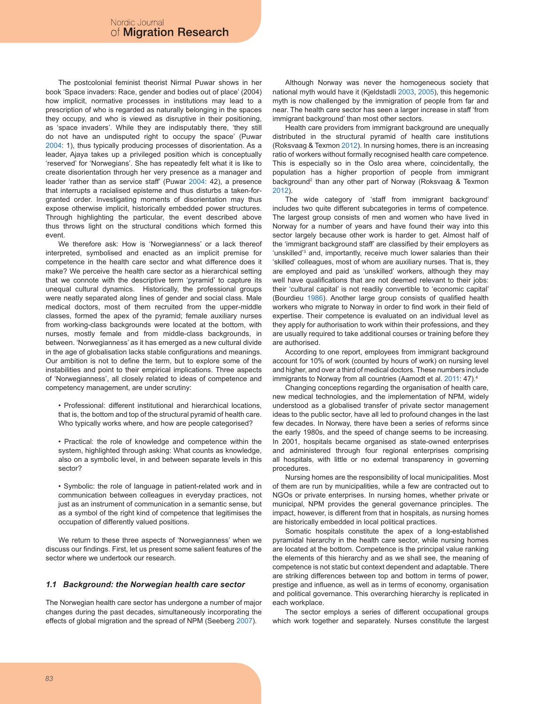The postcolonial feminist theorist Nirmal Puwar shows in her book 'Space invaders: Race, gender and bodies out of place' (2004) how implicit, normative processes in institutions may lead to a prescription of who is regarded as naturally belonging in the spaces they occupy, and who is viewed as disruptive in their positioning, as 'space invaders'. While they are indisputably there, 'they still do not have an undisputed right to occupy the space' (Puwar 2004: 1), thus typically producing processes of disorientation. As a leader, Ajaya takes up a privileged position which is conceptually 'reserved' for 'Norwegians'. She has repeatedly felt what it is like to create disorientation through her very presence as a manager and leader 'rather than as service staff' (Puwar 2004: 42), a presence that interrupts a racialised episteme and thus disturbs a taken-forgranted order. Investigating moments of disorientation may thus expose otherwise implicit, historically embedded power structures. Through highlighting the particular, the event described above thus throws light on the structural conditions which formed this event.

We therefore ask: How is 'Norwegianness' or a lack thereof interpreted, symbolised and enacted as an implicit premise for competence in the health care sector and what difference does it make? We perceive the health care sector as a hierarchical setting that we connote with the descriptive term 'pyramid' to capture its unequal cultural dynamics. Historically, the professional groups were neatly separated along lines of gender and social class. Male medical doctors, most of them recruited from the upper-middle classes, formed the apex of the pyramid; female auxiliary nurses from working-class backgrounds were located at the bottom, with nurses, mostly female and from middle-class backgrounds, in between. 'Norwegianness' as it has emerged as a new cultural divide in the age of globalisation lacks stable configurations and meanings. Our ambition is not to define the term, but to explore some of the instabilities and point to their empirical implications. Three aspects of 'Norwegianness', all closely related to ideas of competence and competency management, are under scrutiny:

• Professional: different institutional and hierarchical locations, that is, the bottom and top of the structural pyramid of health care. Who typically works where, and how are people categorised?

• Practical: the role of knowledge and competence within the system, highlighted through asking: What counts as knowledge, also on a symbolic level, in and between separate levels in this sector?

• Symbolic: the role of language in patient-related work and in communication between colleagues in everyday practices, not just as an instrument of communication in a semantic sense, but as a symbol of the right kind of competence that legitimises the occupation of differently valued positions.

We return to these three aspects of 'Norwegianness' when we discuss our findings. First, let us present some salient features of the sector where we undertook our research.

### *1.1 Background: the Norwegian health care sector*

The Norwegian health care sector has undergone a number of major changes during the past decades, simultaneously incorporating the effects of global migration and the spread of NPM (Seeberg 2007).

Although Norway was never the homogeneous society that national myth would have it (Kjeldstadli 2003, 2005), this hegemonic myth is now challenged by the immigration of people from far and near. The health care sector has seen a larger increase in staff 'from immigrant background' than most other sectors.

Health care providers from immigrant background are unequally distributed in the structural pyramid of health care institutions (Roksvaag & Texmon 2012). In nursing homes, there is an increasing ratio of workers without formally recognised health care competence. This is especially so in the Oslo area where, coincidentally, the population has a higher proportion of people from immigrant background2 than any other part of Norway (Roksvaag & Texmon 2012).

The wide category of 'staff from immigrant background' includes two quite different subcategories in terms of competence. The largest group consists of men and women who have lived in Norway for a number of years and have found their way into this sector largely because other work is harder to get. Almost half of the 'immigrant background staff' are classified by their employers as 'unskilled'<sup>3</sup> and, importantly, receive much lower salaries than their 'skilled' colleagues, most of whom are auxiliary nurses. That is, they are employed and paid as 'unskilled' workers, although they may well have qualifications that are not deemed relevant to their jobs: their 'cultural capital' is not readily convertible to 'economic capital' (Bourdieu 1986). Another large group consists of qualified health workers who migrate to Norway in order to find work in their field of expertise. Their competence is evaluated on an individual level as they apply for authorisation to work within their professions, and they are usually required to take additional courses or training before they are authorised.

According to one report, employees from immigrant background account for 10% of work (counted by hours of work) on nursing level and higher, and over a third of medical doctors. These numbers include immigrants to Norway from all countries (Aamodt et al. 2011: 47).<sup>4</sup>

Changing conceptions regarding the organisation of health care, new medical technologies, and the implementation of NPM, widely understood as a globalised transfer of private sector management ideas to the public sector, have all led to profound changes in the last few decades. In Norway, there have been a series of reforms since the early 1980s, and the speed of change seems to be increasing. In 2001, hospitals became organised as state-owned enterprises and administered through four regional enterprises comprising all hospitals, with little or no external transparency in governing procedures.

Nursing homes are the responsibility of local municipalities. Most of them are run by municipalities, while a few are contracted out to NGOs or private enterprises. In nursing homes, whether private or municipal, NPM provides the general governance principles. The impact, however, is different from that in hospitals, as nursing homes are historically embedded in local political practices.

Somatic hospitals constitute the apex of a long-established pyramidal hierarchy in the health care sector, while nursing homes are located at the bottom. Competence is the principal value ranking the elements of this hierarchy and as we shall see, the meaning of competence is not static but context dependent and adaptable. There are striking differences between top and bottom in terms of power, prestige and influence, as well as in terms of economy, organisation and political governance. This overarching hierarchy is replicated in each workplace.

The sector employs a series of different occupational groups which work together and separately. Nurses constitute the largest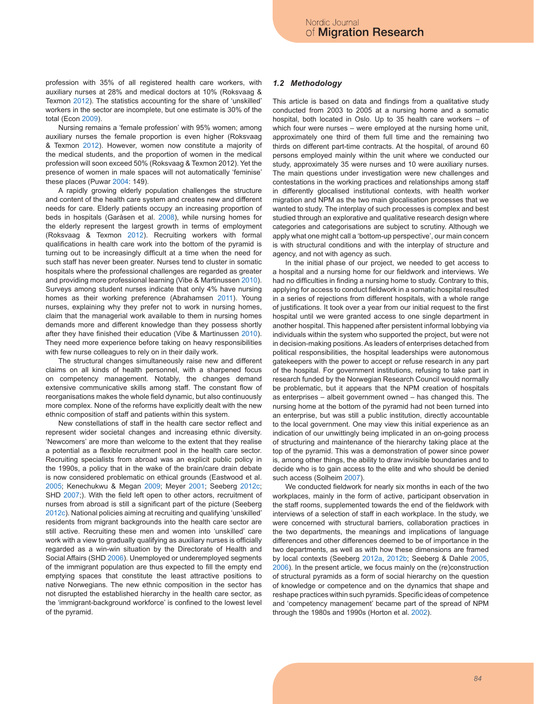profession with 35% of all registered health care workers, with auxiliary nurses at 28% and medical doctors at 10% (Roksvaag & Texmon 2012). The statistics accounting for the share of 'unskilled' workers in the sector are incomplete, but one estimate is 30% of the total (Econ 2009).

Nursing remains a 'female profession' with 95% women; among auxiliary nurses the female proportion is even higher (Roksvaag & Texmon 2012). However, women now constitute a majority of the medical students, and the proportion of women in the medical profession will soon exceed 50% (Roksvaag & Texmon 2012). Yet the presence of women in male spaces will not automatically 'feminise' these places (Puwar 2004: 149).

A rapidly growing elderly population challenges the structure and content of the health care system and creates new and different needs for care. Elderly patients occupy an increasing proportion of beds in hospitals (Garåsen et al. 2008), while nursing homes for the elderly represent the largest growth in terms of employment (Roksvaag & Texmon 2012). Recruiting workers with formal qualifications in health care work into the bottom of the pyramid is turning out to be increasingly difficult at a time when the need for such staff has never been greater. Nurses tend to cluster in somatic hospitals where the professional challenges are regarded as greater and providing more professional learning (Vibe & Martinussen 2010). Surveys among student nurses indicate that only 4% have nursing homes as their working preference (Abrahamsen 2011). Young nurses, explaining why they prefer not to work in nursing homes, claim that the managerial work available to them in nursing homes demands more and different knowledge than they possess shortly after they have finished their education (Vibe & Martinussen 2010). They need more experience before taking on heavy responsibilities with few nurse colleagues to rely on in their daily work.

The structural changes simultaneously raise new and different claims on all kinds of health personnel, with a sharpened focus on competency management. Notably, the changes demand extensive communicative skills among staff. The constant flow of reorganisations makes the whole field dynamic, but also continuously more complex. None of the reforms have explicitly dealt with the new ethnic composition of staff and patients within this system.

New constellations of staff in the health care sector reflect and represent wider societal changes and increasing ethnic diversity. 'Newcomers' are more than welcome to the extent that they realise a potential as a flexible recruitment pool in the health care sector. Recruiting specialists from abroad was an explicit public policy in the 1990s, a policy that in the wake of the brain/care drain debate is now considered problematic on ethical grounds (Eastwood et al. 2005; Kenechukwu & Megan 2009; Meyer 2001; Seeberg 2012c; SHD 2007;). With the field left open to other actors, recruitment of nurses from abroad is still a significant part of the picture (Seeberg 2012c). National policies aiming at recruiting and qualifying 'unskilled' residents from migrant backgrounds into the health care sector are still active. Recruiting these men and women into 'unskilled' care work with a view to gradually qualifying as auxiliary nurses is officially regarded as a win-win situation by the Directorate of Health and Social Affairs (SHD 2006). Unemployed or underemployed segments of the immigrant population are thus expected to fill the empty end emptying spaces that constitute the least attractive positions to native Norwegians. The new ethnic composition in the sector has not disrupted the established hierarchy in the health care sector, as the 'immigrant-background workforce' is confined to the lowest level of the pyramid.

### *1.2 Methodology*

This article is based on data and findings from a qualitative study conducted from 2003 to 2005 at a nursing home and a somatic hospital, both located in Oslo. Up to 35 health care workers – of which four were nurses – were employed at the nursing home unit, approximately one third of them full time and the remaining two thirds on different part-time contracts. At the hospital, of around 60 persons employed mainly within the unit where we conducted our study, approximately 35 were nurses and 10 were auxiliary nurses. The main questions under investigation were new challenges and contestations in the working practices and relationships among staff in differently glocalised institutional contexts, with health worker migration and NPM as the two main glocalisation processes that we wanted to study. The interplay of such processes is complex and best studied through an explorative and qualitative research design where categories and categorisations are subject to scrutiny. Although we apply what one might call a 'bottom-up perspective', our main concern is with structural conditions and with the interplay of structure and agency, and not with agency as such.

In the initial phase of our project, we needed to get access to a hospital and a nursing home for our fieldwork and interviews. We had no difficulties in finding a nursing home to study. Contrary to this, applying for access to conduct fieldwork in a somatic hospital resulted in a series of rejections from different hospitals, with a whole range of justifications. It took over a year from our initial request to the first hospital until we were granted access to one single department in another hospital. This happened after persistent informal lobbying via individuals within the system who supported the project, but were not in decision-making positions. As leaders of enterprises detached from political responsibilities, the hospital leaderships were autonomous gatekeepers with the power to accept or refuse research in any part of the hospital. For government institutions, refusing to take part in research funded by the Norwegian Research Council would normally be problematic, but it appears that the NPM creation of hospitals as enterprises – albeit government owned – has changed this. The nursing home at the bottom of the pyramid had not been turned into an enterprise, but was still a public institution, directly accountable to the local government. One may view this initial experience as an indication of our unwittingly being implicated in an on-going process of structuring and maintenance of the hierarchy taking place at the top of the pyramid. This was a demonstration of power since power is, among other things, the ability to draw invisible boundaries and to decide who is to gain access to the elite and who should be denied such access (Solheim 2007).

We conducted fieldwork for nearly six months in each of the two workplaces, mainly in the form of active, participant observation in the staff rooms, supplemented towards the end of the fieldwork with interviews of a selection of staff in each workplace. In the study, we were concerned with structural barriers, collaboration practices in the two departments, the meanings and implications of language differences and other differences deemed to be of importance in the two departments, as well as with how these dimensions are framed by local contexts (Seeberg 2012a, 2012b; Seeberg & Dahle 2005, 2006). In the present article, we focus mainly on the (re)construction of structural pyramids as a form of social hierarchy on the question of knowledge or competence and on the dynamics that shape and reshape practices within such pyramids. Specific ideas of competence and 'competency management' became part of the spread of NPM through the 1980s and 1990s (Horton et al. 2002).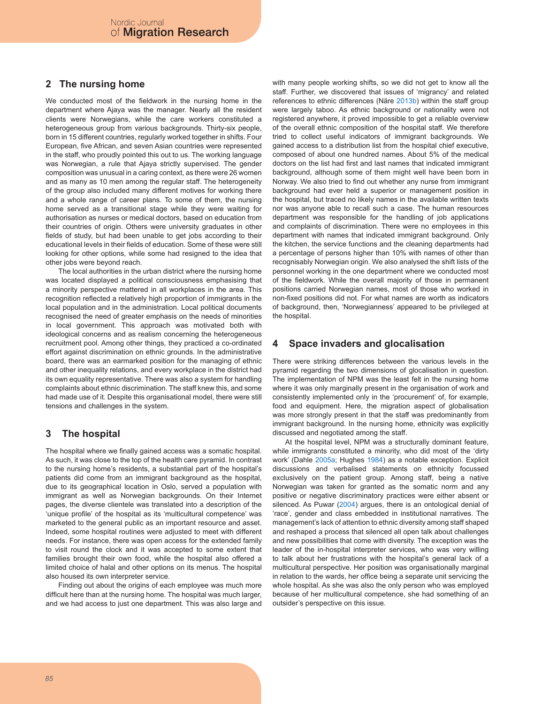# **2 The nursing home**

We conducted most of the fieldwork in the nursing home in the department where Ajaya was the manager. Nearly all the resident clients were Norwegians, while the care workers constituted a heterogeneous group from various backgrounds. Thirty-six people, born in 15 different countries, regularly worked together in shifts. Four European, five African, and seven Asian countries were represented in the staff, who proudly pointed this out to us. The working language was Norwegian, a rule that Ajaya strictly supervised. The gender composition was unusual in a caring context, as there were 26 women and as many as 10 men among the regular staff. The heterogeneity of the group also included many different motives for working there and a whole range of career plans. To some of them, the nursing home served as a transitional stage while they were waiting for authorisation as nurses or medical doctors, based on education from their countries of origin. Others were university graduates in other fields of study, but had been unable to get jobs according to their educational levels in their fields of education. Some of these were still looking for other options, while some had resigned to the idea that other jobs were beyond reach.

The local authorities in the urban district where the nursing home was located displayed a political consciousness emphasising that a minority perspective mattered in all workplaces in the area. This recognition reflected a relatively high proportion of immigrants in the local population and in the administration. Local political documents recognised the need of greater emphasis on the needs of minorities in local government. This approach was motivated both with ideological concerns and as realism concerning the heterogeneous recruitment pool. Among other things, they practiced a co-ordinated effort against discrimination on ethnic grounds. In the administrative board, there was an earmarked position for the managing of ethnic and other inequality relations, and every workplace in the district had its own equality representative. There was also a system for handling complaints about ethnic discrimination. The staff knew this, and some had made use of it. Despite this organisational model, there were still tensions and challenges in the system.

# **3 The hospital**

The hospital where we finally gained access was a somatic hospital. As such, it was close to the top of the health care pyramid. In contrast to the nursing home's residents, a substantial part of the hospital's patients did come from an immigrant background as the hospital, due to its geographical location in Oslo, served a population with immigrant as well as Norwegian backgrounds. On their Internet pages, the diverse clientele was translated into a description of the 'unique profile' of the hospital as its 'multicultural competence' was marketed to the general public as an important resource and asset. Indeed, some hospital routines were adjusted to meet with different needs. For instance, there was open access for the extended family to visit round the clock and it was accepted to some extent that families brought their own food, while the hospital also offered a limited choice of halal and other options on its menus. The hospital also housed its own interpreter service.

Finding out about the origins of each employee was much more difficult here than at the nursing home. The hospital was much larger, and we had access to just one department. This was also large and with many people working shifts, so we did not get to know all the staff. Further, we discovered that issues of 'migrancy' and related references to ethnic differences (Näre 2013b) within the staff group were largely taboo. As ethnic background or nationality were not registered anywhere, it proved impossible to get a reliable overview of the overall ethnic composition of the hospital staff. We therefore tried to collect useful indicators of immigrant backgrounds. We gained access to a distribution list from the hospital chief executive, composed of about one hundred names. About 5% of the medical doctors on the list had first and last names that indicated immigrant background, although some of them might well have been born in Norway. We also tried to find out whether any nurse from immigrant background had ever held a superior or management position in the hospital, but traced no likely names in the available written texts nor was anyone able to recall such a case. The human resources department was responsible for the handling of job applications and complaints of discrimination. There were no employees in this department with names that indicated immigrant background. Only the kitchen, the service functions and the cleaning departments had a percentage of persons higher than 10% with names of other than recognisably Norwegian origin. We also analysed the shift lists of the personnel working in the one department where we conducted most of the fieldwork. While the overall majority of those in permanent positions carried Norwegian names, most of those who worked in non-fixed positions did not. For what names are worth as indicators of background, then, 'Norwegianness' appeared to be privileged at the hospital.

# **4 Space invaders and glocalisation**

There were striking differences between the various levels in the pyramid regarding the two dimensions of glocalisation in question. The implementation of NPM was the least felt in the nursing home where it was only marginally present in the organisation of work and consistently implemented only in the 'procurement' of, for example, food and equipment. Here, the migration aspect of globalisation was more strongly present in that the staff was predominantly from immigrant background. In the nursing home, ethnicity was explicitly discussed and negotiated among the staff.

At the hospital level, NPM was a structurally dominant feature, while immigrants constituted a minority, who did most of the 'dirty work' (Dahle 2005a; Hughes 1984) as a notable exception. Explicit discussions and verbalised statements on ethnicity focussed exclusively on the patient group. Among staff, being a native Norwegian was taken for granted as the somatic norm and any positive or negative discriminatory practices were either absent or silenced. As Puwar (2004) argues, there is an ontological denial of 'race', gender and class embedded in institutional narratives. The management's lack of attention to ethnic diversity among staff shaped and reshaped a process that silenced all open talk about challenges and new possibilities that come with diversity. The exception was the leader of the in-hospital interpreter services, who was very willing to talk about her frustrations with the hospital's general lack of a multicultural perspective. Her position was organisationally marginal in relation to the wards, her office being a separate unit servicing the whole hospital. As she was also the only person who was employed because of her multicultural competence, she had something of an outsider's perspective on this issue.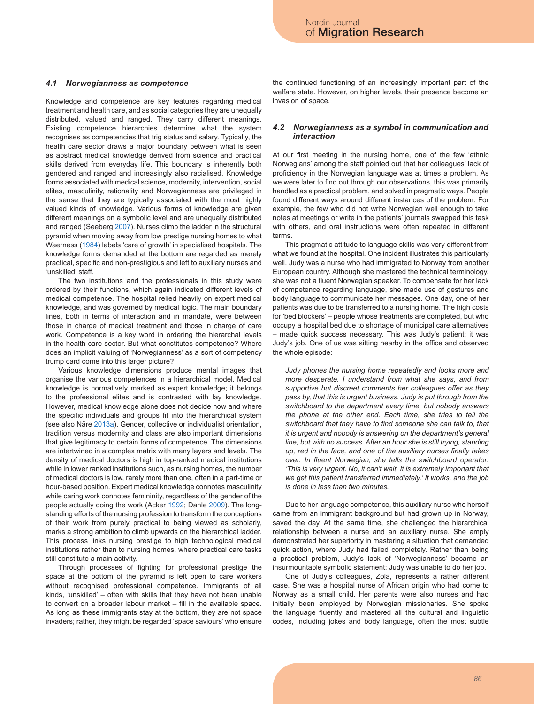### *4.1 Norwegianness as competence*

Knowledge and competence are key features regarding medical treatment and health care, and as social categories they are unequally distributed, valued and ranged. They carry different meanings. Existing competence hierarchies determine what the system recognises as competencies that trig status and salary. Typically, the health care sector draws a major boundary between what is seen as abstract medical knowledge derived from science and practical skills derived from everyday life. This boundary is inherently both gendered and ranged and increasingly also racialised. Knowledge forms associated with medical science, modernity, intervention, social elites, masculinity, rationality and Norwegianness are privileged in the sense that they are typically associated with the most highly valued kinds of knowledge. Various forms of knowledge are given different meanings on a symbolic level and are unequally distributed and ranged (Seeberg 2007). Nurses climb the ladder in the structural pyramid when moving away from low prestige nursing homes to what Waerness (1984) labels 'care of growth' in specialised hospitals. The knowledge forms demanded at the bottom are regarded as merely practical, specific and non-prestigious and left to auxiliary nurses and 'unskilled' staff.

The two institutions and the professionals in this study were ordered by their functions, which again indicated different levels of medical competence. The hospital relied heavily on expert medical knowledge, and was governed by medical logic. The main boundary lines, both in terms of interaction and in mandate, were between those in charge of medical treatment and those in charge of care work. Competence is a key word in ordering the hierarchal levels in the health care sector. But what constitutes competence? Where does an implicit valuing of 'Norwegianness' as a sort of competency trump card come into this larger picture?

Various knowledge dimensions produce mental images that organise the various competences in a hierarchical model. Medical knowledge is normatively marked as expert knowledge; it belongs to the professional elites and is contrasted with lay knowledge. However, medical knowledge alone does not decide how and where the specific individuals and groups fit into the hierarchical system (see also Näre 2013a). Gender, collective or individualist orientation, tradition versus modernity and class are also important dimensions that give legitimacy to certain forms of competence. The dimensions are intertwined in a complex matrix with many layers and levels. The density of medical doctors is high in top-ranked medical institutions while in lower ranked institutions such, as nursing homes, the number of medical doctors is low, rarely more than one, often in a part-time or hour-based position. Expert medical knowledge connotes masculinity while caring work connotes femininity, regardless of the gender of the people actually doing the work (Acker 1992; Dahle 2009). The longstanding efforts of the nursing profession to transform the conceptions of their work from purely practical to being viewed as scholarly, marks a strong ambition to climb upwards on the hierarchical ladder. This process links nursing prestige to high technological medical institutions rather than to nursing homes, where practical care tasks still constitute a main activity.

Through processes of fighting for professional prestige the space at the bottom of the pyramid is left open to care workers without recognised professional competence. Immigrants of all kinds, 'unskilled' – often with skills that they have not been unable to convert on a broader labour market – fill in the available space. As long as these immigrants stay at the bottom, they are not space invaders; rather, they might be regarded 'space saviours' who ensure

the continued functioning of an increasingly important part of the welfare state. However, on higher levels, their presence become an invasion of space.

### *4.2 Norwegianness as a symbol in communication and interaction*

At our first meeting in the nursing home, one of the few 'ethnic Norwegians' among the staff pointed out that her colleagues' lack of proficiency in the Norwegian language was at times a problem. As we were later to find out through our observations, this was primarily handled as a practical problem, and solved in pragmatic ways. People found different ways around different instances of the problem. For example, the few who did not write Norwegian well enough to take notes at meetings or write in the patients' journals swapped this task with others, and oral instructions were often repeated in different terms.

This pragmatic attitude to language skills was very different from what we found at the hospital. One incident illustrates this particularly well. Judy was a nurse who had immigrated to Norway from another European country. Although she mastered the technical terminology, she was not a fluent Norwegian speaker. To compensate for her lack of competence regarding language, she made use of gestures and body language to communicate her messages. One day, one of her patients was due to be transferred to a nursing home. The high costs for 'bed blockers' – people whose treatments are completed, but who occupy a hospital bed due to shortage of municipal care alternatives – made quick success necessary. This was Judy's patient; it was Judy's job. One of us was sitting nearby in the office and observed the whole episode:

*Judy phones the nursing home repeatedly and looks more and more desperate. I understand from what she says, and from supportive but discreet comments her colleagues offer as they pass by, that this is urgent business. Judy is put through from the switchboard to the department every time, but nobody answers the phone at the other end. Each time, she tries to tell the switchboard that they have to find someone she can talk to, that it is urgent and nobody is answering on the department's general line, but with no success. After an hour she is still trying, standing up, red in the face, and one of the auxiliary nurses finally takes over. In fluent Norwegian, she tells the switchboard operator: 'This is very urgent. No, it can't wait. It is extremely important that we get this patient transferred immediately.' It works, and the job is done in less than two minutes.*

Due to her language competence, this auxiliary nurse who herself came from an immigrant background but had grown up in Norway, saved the day. At the same time, she challenged the hierarchical relationship between a nurse and an auxiliary nurse. She amply demonstrated her superiority in mastering a situation that demanded quick action, where Judy had failed completely. Rather than being a practical problem, Judy's lack of 'Norwegianness' became an insurmountable symbolic statement: Judy was unable to do her job.

One of Judy's colleagues, Zola, represents a rather different case. She was a hospital nurse of African origin who had come to Norway as a small child. Her parents were also nurses and had initially been employed by Norwegian missionaries. She spoke the language fluently and mastered all the cultural and linguistic codes, including jokes and body language, often the most subtle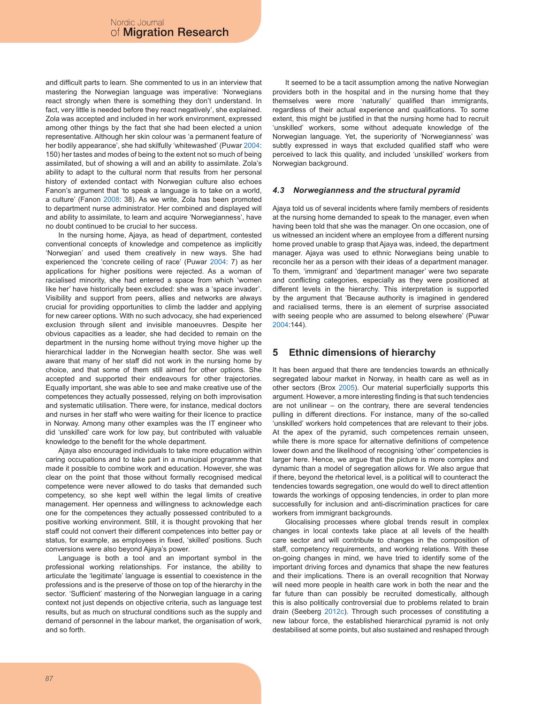and difficult parts to learn. She commented to us in an interview that mastering the Norwegian language was imperative: 'Norwegians react strongly when there is something they don't understand. In fact, very little is needed before they react negatively', she explained. Zola was accepted and included in her work environment, expressed among other things by the fact that she had been elected a union representative. Although her skin colour was 'a permanent feature of her bodily appearance', she had skilfully 'whitewashed' (Puwar 2004: 150) her tastes and modes of being to the extent not so much of being assimilated, but of showing a will and an ability to assimilate. Zola's ability to adapt to the cultural norm that results from her personal history of extended contact with Norwegian culture also echoes Fanon's argument that 'to speak a language is to take on a world, a culture' (Fanon 2008: 38). As we write, Zola has been promoted to department nurse administrator. Her combined and displayed will and ability to assimilate, to learn and acquire 'Norwegianness', have no doubt continued to be crucial to her success.

In the nursing home, Ajaya, as head of department, contested conventional concepts of knowledge and competence as implicitly 'Norwegian' and used them creatively in new ways. She had experienced the 'concrete ceiling of race' (Puwar 2004: 7) as her applications for higher positions were rejected. As a woman of racialised minority, she had entered a space from which 'women like her' have historically been excluded: she was a 'space invader'. Visibility and support from peers, allies and networks are always crucial for providing opportunities to climb the ladder and applying for new career options. With no such advocacy, she had experienced exclusion through silent and invisible manoeuvres. Despite her obvious capacities as a leader, she had decided to remain on the department in the nursing home without trying move higher up the hierarchical ladder in the Norwegian health sector. She was well aware that many of her staff did not work in the nursing home by choice, and that some of them still aimed for other options. She accepted and supported their endeavours for other trajectories. Equally important, she was able to see and make creative use of the competences they actually possessed, relying on both improvisation and systematic utilisation. There were, for instance, medical doctors and nurses in her staff who were waiting for their licence to practice in Norway. Among many other examples was the IT engineer who did 'unskilled' care work for low pay, but contributed with valuable knowledge to the benefit for the whole department.

Ajaya also encouraged individuals to take more education within caring occupations and to take part in a municipal programme that made it possible to combine work and education. However, she was clear on the point that those without formally recognised medical competence were never allowed to do tasks that demanded such competency, so she kept well within the legal limits of creative management. Her openness and willingness to acknowledge each one for the competences they actually possessed contributed to a positive working environment. Still, it is thought provoking that her staff could not convert their different competences into better pay or status, for example, as employees in fixed, 'skilled' positions. Such conversions were also beyond Ajaya's power.

Language is both a tool and an important symbol in the professional working relationships. For instance, the ability to articulate the 'legitimate' language is essential to coexistence in the professions and is the preserve of those on top of the hierarchy in the sector. 'Sufficient' mastering of the Norwegian language in a caring context not just depends on objective criteria, such as language test results, but as much on structural conditions such as the supply and demand of personnel in the labour market, the organisation of work, and so forth.

It seemed to be a tacit assumption among the native Norwegian providers both in the hospital and in the nursing home that they themselves were more 'naturally' qualified than immigrants, regardless of their actual experience and qualifications. To some extent, this might be justified in that the nursing home had to recruit 'unskilled' workers, some without adequate knowledge of the Norwegian language. Yet, the superiority of 'Norwegianness' was subtly expressed in ways that excluded qualified staff who were perceived to lack this quality, and included 'unskilled' workers from Norwegian background.

### *4.3 Norwegianness and the structural pyramid*

Ajaya told us of several incidents where family members of residents at the nursing home demanded to speak to the manager, even when having been told that she was the manager. On one occasion, one of us witnessed an incident where an employee from a different nursing home proved unable to grasp that Ajaya was, indeed, the department manager. Ajaya was used to ethnic Norwegians being unable to reconcile her as a person with their ideas of a department manager. To them, 'immigrant' and 'department manager' were two separate and conflicting categories, especially as they were positioned at different levels in the hierarchy. This interpretation is supported by the argument that 'Because authority is imagined in gendered and racialised terms, there is an element of surprise associated with seeing people who are assumed to belong elsewhere' (Puwar  $2004 \cdot 144$ 

# **5 Ethnic dimensions of hierarchy**

It has been argued that there are tendencies towards an ethnically segregated labour market in Norway, in health care as well as in other sectors (Brox 2005). Our material superficially supports this argument. However, a more interesting finding is that such tendencies are not unilinear – on the contrary, there are several tendencies pulling in different directions. For instance, many of the so-called 'unskilled' workers hold competences that are relevant to their jobs. At the apex of the pyramid, such competences remain unseen, while there is more space for alternative definitions of competence lower down and the likelihood of recognising 'other' competencies is larger here. Hence, we argue that the picture is more complex and dynamic than a model of segregation allows for. We also argue that if there, beyond the rhetorical level, is a political will to counteract the tendencies towards segregation, one would do well to direct attention towards the workings of opposing tendencies, in order to plan more successfully for inclusion and anti-discrimination practices for care workers from immigrant backgrounds.

Glocalising processes where global trends result in complex changes in local contexts take place at all levels of the health care sector and will contribute to changes in the composition of staff, competency requirements, and working relations. With these on-going changes in mind, we have tried to identify some of the important driving forces and dynamics that shape the new features and their implications. There is an overall recognition that Norway will need more people in health care work in both the near and the far future than can possibly be recruited domestically, although this is also politically controversial due to problems related to brain drain (Seeberg 2012c). Through such processes of constituting a new labour force, the established hierarchical pyramid is not only destabilised at some points, but also sustained and reshaped through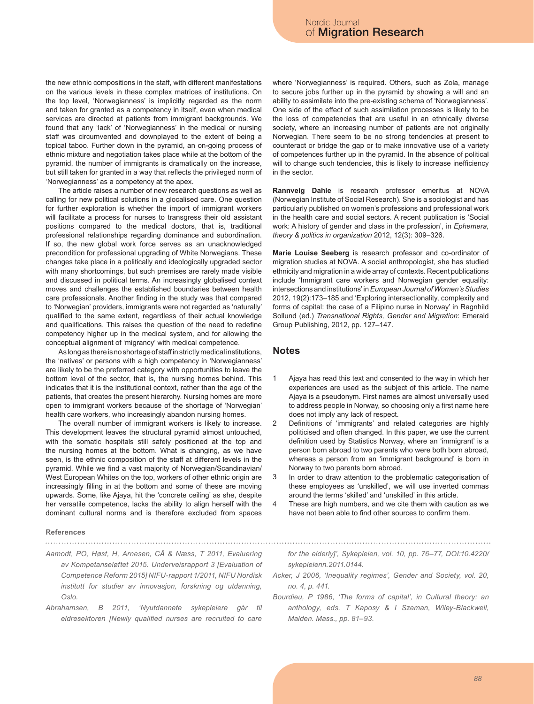the new ethnic compositions in the staff, with different manifestations on the various levels in these complex matrices of institutions. On the top level, 'Norwegianness' is implicitly regarded as the norm and taken for granted as a competency in itself, even when medical services are directed at patients from immigrant backgrounds. We found that any 'lack' of 'Norwegianness' in the medical or nursing staff was circumvented and downplayed to the extent of being a topical taboo. Further down in the pyramid, an on-going process of ethnic mixture and negotiation takes place while at the bottom of the pyramid, the number of immigrants is dramatically on the increase, but still taken for granted in a way that reflects the privileged norm of 'Norwegianness' as a competency at the apex.

The article raises a number of new research questions as well as calling for new political solutions in a glocalised care. One question for further exploration is whether the import of immigrant workers will facilitate a process for nurses to transgress their old assistant positions compared to the medical doctors, that is, traditional professional relationships regarding dominance and subordination. If so, the new global work force serves as an unacknowledged precondition for professional upgrading of White Norwegians. These changes take place in a politically and ideologically upgraded sector with many shortcomings, but such premises are rarely made visible and discussed in political terms. An increasingly globalised context moves and challenges the established boundaries between health care professionals. Another finding in the study was that compared to 'Norwegian' providers, immigrants were not regarded as 'naturally' qualified to the same extent, regardless of their actual knowledge and qualifications. This raises the question of the need to redefine competency higher up in the medical system, and for allowing the conceptual alignment of 'migrancy' with medical competence.

As long as there is no shortage of staff in strictly medical institutions, the 'natives' or persons with a high competency in 'Norwegianness' are likely to be the preferred category with opportunities to leave the bottom level of the sector, that is, the nursing homes behind. This indicates that it is the institutional context, rather than the age of the patients, that creates the present hierarchy. Nursing homes are more open to immigrant workers because of the shortage of 'Norwegian' health care workers, who increasingly abandon nursing homes.

The overall number of immigrant workers is likely to increase. This development leaves the structural pyramid almost untouched, with the somatic hospitals still safely positioned at the top and the nursing homes at the bottom. What is changing, as we have seen, is the ethnic composition of the staff at different levels in the pyramid. While we find a vast majority of Norwegian/Scandinavian/ West European Whites on the top, workers of other ethnic origin are increasingly filling in at the bottom and some of these are moving upwards. Some, like Ajaya, hit the 'concrete ceiling' as she, despite her versatile competence, lacks the ability to align herself with the dominant cultural norms and is therefore excluded from spaces

#### **References**

- *Aamodt, PO, Høst, H, Arnesen, CÅ & Næss, T 2011, Evaluering av Kompetanseløftet 2015. Underveisrapport 3 [Evaluation of Competence Reform 2015] NIFU-rapport 1/2011, NIFU Nordisk institutt for studier av innovasjon, forskning og utdanning, Oslo.*
- *Abrahamsen, B 2011, 'Nyutdannete sykepleiere går til eldresektoren [Newly qualified nurses are recruited to care*

where 'Norwegianness' is required. Others, such as Zola, manage to secure jobs further up in the pyramid by showing a will and an ability to assimilate into the pre-existing schema of 'Norwegianness'. One side of the effect of such assimilation processes is likely to be the loss of competencies that are useful in an ethnically diverse society, where an increasing number of patients are not originally Norwegian. There seem to be no strong tendencies at present to counteract or bridge the gap or to make innovative use of a variety of competences further up in the pyramid. In the absence of political will to change such tendencies, this is likely to increase inefficiency in the sector.

**Rannveig Dahle** is research professor emeritus at NOVA (Norwegian Institute of Social Research). She is a sociologist and has particularly published on women's professions and professional work in the health care and social sectors. A recent publication is 'Social work: A history of gender and class in the profession', in *Ephemera, theory & politics in organization* 2012, 12(3): 309–326.

**Marie Louise Seeberg** is research professor and co-ordinator of migration studies at NOVA. A social anthropologist, she has studied ethnicity and migration in a wide array of contexts. Recent publications include 'Immigrant care workers and Norwegian gender equality: intersections and institutions' in *European Journal of Women's Studies* 2012, 19(2):173–185 and 'Exploring intersectionality, complexity and forms of capital: the case of a Filipino nurse in Norway' in Ragnhild Sollund (ed.) *Transnational Rights, Gender and Migration*: Emerald Group Publishing, 2012, pp. 127–147.

## **Notes**

- Ajaya has read this text and consented to the way in which her experiences are used as the subject of this article. The name Ajaya is a pseudonym. First names are almost universally used to address people in Norway, so choosing only a first name here does not imply any lack of respect. 1
- Definitions of 'immigrants' and related categories are highly politicised and often changed. In this paper, we use the current definition used by Statistics Norway, where an 'immigrant' is a person born abroad to two parents who were both born abroad, whereas a person from an 'immigrant background' is born in Norway to two parents born abroad.  $\overline{2}$
- In order to draw attention to the problematic categorisation of these employees as 'unskilled', we will use inverted commas around the terms 'skilled' and 'unskilled' in this article. 3
- These are high numbers, and we cite them with caution as we have not been able to find other sources to confirm them. 4

*for the elderly]', Sykepleien, vol. 10, pp. 76–77, DOI:10.4220/ sykepleienn.2011.0144.*

- *Acker, J 2006, 'Inequality regimes', Gender and Society, vol. 20, no. 4, p. 441.*
- *Bourdieu, P 1986, 'The forms of capital', in Cultural theory: an anthology, eds. T Kaposy & I Szeman, Wiley-Blackwell, Malden. Mass., pp. 81–93.*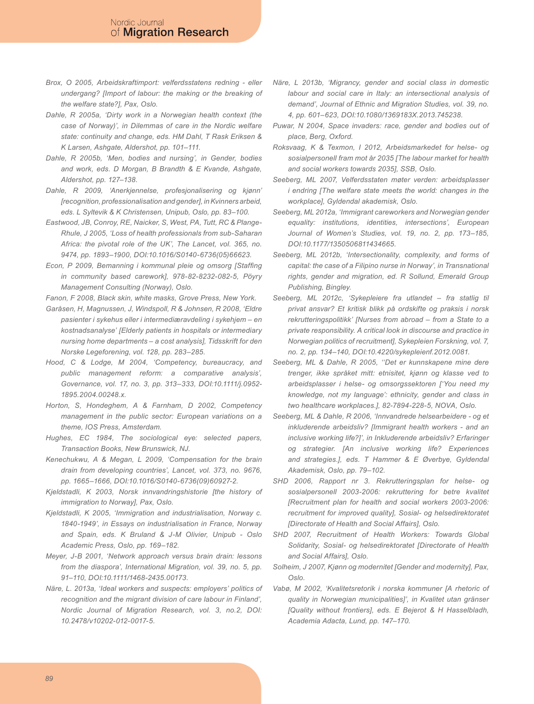- *Brox, O 2005, Arbeidskraftimport: velferdsstatens redning eller undergang? [Import of labour: the making or the breaking of the welfare state?], Pax, Oslo.*
- *Dahle, R 2005a, 'Dirty work in a Norwegian health context (the case of Norway)', in Dilemmas of care in the Nordic welfare state: continuity and change, eds. HM Dahl, T Rask Eriksen & K Larsen, Ashgate, Aldershot, pp. 101–111.*
- *Dahle, R 2005b, 'Men, bodies and nursing', in Gender, bodies and work, eds. D Morgan, B Brandth & E Kvande, Ashgate, Aldershot, pp. 127–138.*
- *Dahle, R 2009, 'Anerkjennelse, profesjonalisering og kjønn' [recognition, professionalisation and gender], in Kvinners arbeid, eds. L Syltevik & K Christensen, Unipub, Oslo, pp. 83–100.*
- *Eastwood, JB, Conroy, RE, Naicker, S, West, PA, Tutt, RC & Plange-Rhule, J 2005, 'Loss of health professionals from sub-Saharan Africa: the pivotal role of the UK', The Lancet, vol. 365, no. 9474, pp. 1893–1900, DOI:10.1016/S0140-6736(05)66623.*
- *Econ, P 2009, Bemanning i kommunal pleie og omsorg [Staffing in community based carework], 978-82-8232-082-5, Pöyry Management Consulting (Norway), Oslo.*
- *Fanon, F 2008, Black skin, white masks, Grove Press, New York.*
- *Garåsen, H, Magnussen, J, Windspoll, R & Johnsen, R 2008, 'Eldre pasienter i sykehus eller i intermediæravdeling i sykehjem – en kostnadsanalyse' [Elderly patients in hospitals or intermediary nursing home departments – a cost analysis], Tidsskrift for den Norske Legeforening, vol. 128, pp. 283–285.*
- *Hood, C & Lodge, M 2004, 'Competency, bureaucracy, and public management reform: a comparative analysis', Governance, vol. 17, no. 3, pp. 313–333, DOI:10.1111/j.0952- 1895.2004.00248.x.*
- *Horton, S, Hondeghem, A & Farnham, D 2002, Competency management in the public sector: European variations on a theme, IOS Press, Amsterdam.*
- *Hughes, EC 1984, The sociological eye: selected papers, Transaction Books, New Brunswick, NJ.*
- *Kenechukwu, A & Megan, L 2009, 'Compensation for the brain drain from developing countries', Lancet, vol. 373, no. 9676, pp. 1665–1666, DOI:10.1016/S0140-6736(09)60927-2.*
- *Kjeldstadli, K 2003, Norsk innvandringshistorie [the history of immigration to Norway], Pax, Oslo.*
- *Kjeldstadli, K 2005, 'Immigration and industrialisation, Norway c. 1840-1949', in Essays on industrialisation in France, Norway and Spain, eds. K Bruland & J-M Olivier, Unipub - Oslo Academic Press, Oslo, pp. 169–182.*
- *Meyer, J-B 2001, 'Network approach versus brain drain: lessons from the diaspora', International Migration, vol. 39, no. 5, pp. 91–110, DOI:10.1111/1468-2435.00173.*
- *Näre, L. 2013a, 'Ideal workers and suspects: employers' politics of recognition and the migrant division of care labour in Finland', Nordic Journal of Migration Research, vol. 3, no.2, DOI: 10.2478/v10202-012-0017-5.*
- *Näre, L 2013b, 'Migrancy, gender and social class in domestic labour and social care in Italy: an intersectional analysis of demand', Journal of Ethnic and Migration Studies, vol. 39, no. 4, pp. 601–623, DOI:10.1080/1369183X.2013.745238.*
- *Puwar, N 2004, Space invaders: race, gender and bodies out of place, Berg, Oxford.*
- *Roksvaag, K & Texmon, I 2012, Arbeidsmarkedet for helse- og sosialpersonell fram mot år 2035 [The labour market for health and social workers towards 2035], SSB, Oslo.*
- *Seeberg, ML 2007, Velferdsstaten møter verden: arbeidsplasser i* endring [The welfare state meets the world: changes in the *workplace], Gyldendal akademisk, Oslo.*
- *Seeberg, ML 2012a, 'Immigrant careworkers and Norwegian gender equality: institutions, identities, intersections', European Journal of Women's Studies, vol. 19, no. 2, pp. 173–185, DOI:10.1177/1350506811434665.*
- *Seeberg, ML 2012b, 'Intersectionality, complexity, and forms of capital: the case of a Filipino nurse in Norway', in Transnational rights, gender and migration, ed. R Sollund, Emerald Group Publishing, Bingley.*
- *Seeberg, ML 2012c, 'Sykepleiere fra utlandet fra statlig til privat ansvar? Et kritisk blikk på ordskifte og praksis i norsk rekrutteringspolitikk' [Nurses from abroad – from a State to a private responsibility. A critical look in discourse and practice in Norwegian politics of recruitment], Sykepleien Forskning, vol. 7, no. 2, pp. 134–140, DOI:10.4220/sykepleienf.2012.0081.*
- *Seeberg, ML & Dahle, R 2005, ''Det er kunnskapene mine dere trenger, ikke språket mitt: etnisitet, kjønn og klasse ved to arbeidsplasser i helse- og omsorgssektoren ['You need my knowledge, not my language': ethnicity, gender and class in two healthcare workplaces.], 82-7894-228-5, NOVA, Oslo.*
- *Seeberg, ML & Dahle, R 2006, 'Innvandrede helsearbeidere og et inkluderende arbeidsliv? [Immigrant health workers - and an inclusive working life?]', in Inkluderende arbeidsliv? Erfaringer og strategier. [An inclusive working life? Experiences and strategies.], eds. T Hammer & E Øverbye, Gyldendal Akademisk, Oslo, pp. 79–102.*
- *SHD 2006, Rapport nr 3. Rekrutteringsplan for helse- og sosialpersonell 2003-2006: rekruttering for betre kvalitet [Recruitment plan for health and social workers 2003-2006: recruitment for improved quality], Sosial- og helsedirektoratet [Directorate of Health and Social Affairs], Oslo.*
- *SHD 2007, Recruitment of Health Workers: Towards Global Solidarity, Sosial- og helsedirektoratet [Directorate of Health and Social Affairs], Oslo.*
- *Solheim, J 2007, Kjønn og modernitet [Gender and modernity], Pax, Oslo.*
- *Vabø, M 2002, 'Kvalitetsretorik i norska kommuner [A rhetoric of quality in Norwegian municipalities]', in Kvalitet utan gränser [Quality without frontiers], eds. E Bejerot & H Hasselbladh, Academia Adacta, Lund, pp. 147–170.*